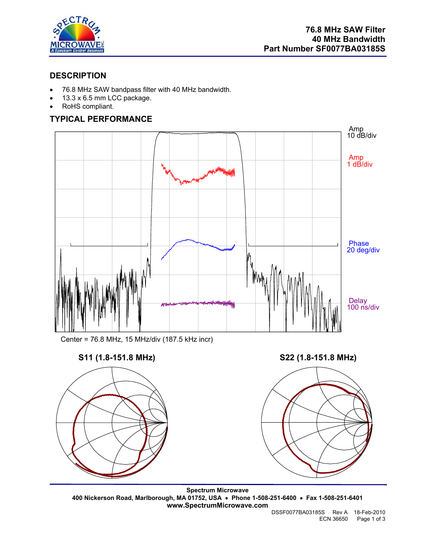

## **DESCRIPTION**

- 76.8 MHz SAW bandpass filter with 40 MHz bandwidth.
- 13.3 x 6.5 mm LCC package.
- RoHS compliant.

# **TYPICAL PERFORMANCE**



Center = 76.8 MHz, 15 MHz/div (187.5 kHz incr)







**Spectrum Microwave 400 Nickerson Road, Marlborough, MA 01752, USA** • **Phone 1-508-251-6400** • **Fax 1-508-251-6401 www.SpectrumMicrowave.com**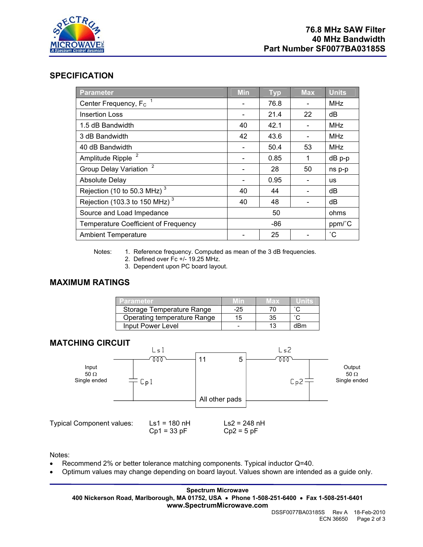

### **SPECIFICATION**

| Parameter                                      | <b>Min</b> | <b>Typ</b> | <b>Max</b> | <b>Units</b> |
|------------------------------------------------|------------|------------|------------|--------------|
| Center Frequency, F <sub>c</sub>               |            | 76.8       |            | <b>MHz</b>   |
| <b>Insertion Loss</b>                          |            | 21.4       | 22         | dB           |
| 1.5 dB Bandwidth                               | 40         | 42.1       |            | <b>MHz</b>   |
| 3 dB Bandwidth                                 | 42         | 43.6       |            | <b>MHz</b>   |
| 40 dB Bandwidth                                |            | 50.4       | 53         | <b>MHz</b>   |
| Amplitude Ripple <sup>2</sup>                  |            | 0.85       | 1          | dB p-p       |
| $\overline{2}$<br><b>Group Delay Variation</b> |            | 28         | 50         | ns p-p       |
| <b>Absolute Delay</b>                          |            | 0.95       |            | <b>us</b>    |
| Rejection (10 to 50.3 MHz) <sup>3</sup>        | 40         | 44         |            | dB           |
| Rejection (103.3 to 150 MHz) $^3$              | 40         | 48         |            | dB           |
| Source and Load Impedance                      | 50         |            |            | ohms         |
| <b>Temperature Coefficient of Frequency</b>    | -86        |            |            | ppm/°C       |
| <b>Ambient Temperature</b>                     |            | 25         |            | °С           |

Notes: 1. Reference frequency. Computed as mean of the 3 dB frequencies.

- 2. Defined over Fc +/- 19.25 MHz.
- 3. Dependent upon PC board layout.

# **MAXIMUM RATINGS**

| Parameter.                  | <b>MID</b> | $M$ ax $\sim$ |        |
|-----------------------------|------------|---------------|--------|
| Storage Temperature Range   | $-25$      |               | $\sim$ |
| Operating temperature Range | 15         | 35            |        |
| Input Power Level           |            |               | dBm    |

### **MATCHING CIRCUIT**



Notes:

- Recommend 2% or better tolerance matching components. Typical inductor Q=40.
- Optimum values may change depending on board layout. Values shown are intended as a guide only.

**Spectrum Microwave 400 Nickerson Road, Marlborough, MA 01752, USA** • **Phone 1-508-251-6400** • **Fax 1-508-251-6401 www.SpectrumMicrowave.com** 

 DSSF0077BA03185S Rev A 18-Feb-2010 ECN 36650 Page 2 of 3